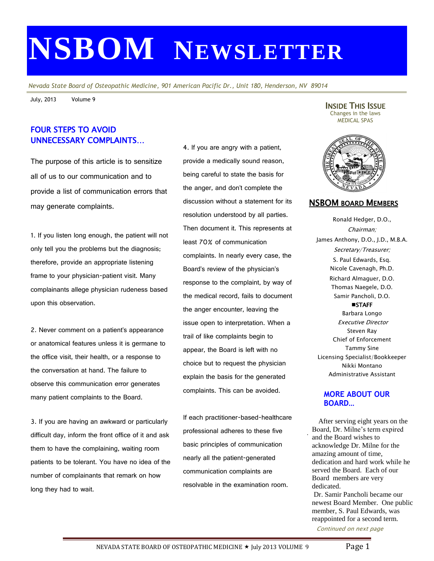# **NSBOM NEWSLETTER**

*Nevada State Board of Osteopathic Medicine, 901 American Pacific Dr., Unit 180, Henderson, NV 89014*

July, 2013 Volume 9

## FOUR STEPS TO AVOID UNNECESSARY COMPLAINTS…

The purpose of this article is to sensitize all of us to our communication and to provide a list of communication errors that may generate complaints.

1. If you listen long enough, the patient will not only tell you the problems but the diagnosis; therefore, provide an appropriate listening frame to your physician-patient visit. Many complainants allege physician rudeness based upon this observation.

2. Never comment on a patient's appearance or anatomical features unless it is germane to the office visit, their health, or a response to the conversation at hand. The failure to observe this communication error generates many patient complaints to the Board.

3. If you are having an awkward or particularly difficult day, inform the front office of it and ask them to have the complaining, waiting room patients to be tolerant. You have no idea of the number of complainants that remark on how long they had to wait.

4. If you are angry with a patient, provide a medically sound reason, being careful to state the basis for the anger, and don't complete the discussion without a statement for its resolution understood by all parties. Then document it. This represents at least 70% of communication complaints. In nearly every case, the Board's review of the physician's response to the complaint, by way of the medical record, fails to document the anger encounter, leaving the issue open to interpretation. When a trail of like complaints begin to appear, the Board is left with no choice but to request the physician explain the basis for the generated complaints. This can be avoided.

If each practitioner-based-healthcare professional adheres to these five basic principles of communication nearly all the patient-generated communication complaints are resolvable in the examination room.

INSIDE THIS ISSUE Changes in the laws MEDICAL SPAS



#### NSBOM BOARD MEMBERS

Ronald Hedger, D.O., Chairman; James Anthony, D.O., J.D., M.B.A. Secretary/Treasurer; S. Paul Edwards, Esq. Nicole Cavenagh, Ph.D. Richard Almaguer, D.O. Thomas Naegele, D.O. Samir Pancholi, D.O.

**STAFF** Barbara Longo Executive Director Steven Ray Chief of Enforcement Tammy Sine Licensing Specialist/Bookkeeper Nikki Montano Administrative Assistant

#### **MORE ABOUT OUR BOARD…**

. After serving eight years on the Board, Dr. Milne's term expired and the Board wishes to acknowledge Dr. Milne for the amazing amount of time, dedication and hard work while he served the Board. Each of our Board members are very dedicated.

Dr. Samir Pancholi became our newest Board Member. One public member, S. Paul Edwards, was reappointed for a second term.

Continued on next page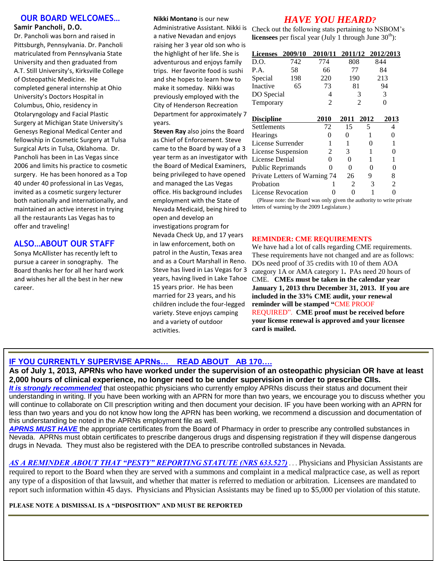#### **OUR BOARD WELCOMES… Samir Pancholi, D.O.**

Dr. Pancholi was born and raised in Pittsburgh, Pennsylvania. Dr. Pancholi matriculated from Pennsylvania State University and then graduated from A.T. Still University's, Kirksville College of Osteopathic Medicine. He completed general internship at Ohio University's Doctors Hospital in Columbus, Ohio, residency in Otolaryngology and Facial Plastic Surgery at Michigan State University's Genesys Regional Medical Center and fellowship in Cosmetic Surgery at Tulsa Surgical Arts in Tulsa, Oklahoma. Dr. Pancholi has been in Las Vegas since 2006 and limits his practice to cosmetic surgery. He has been honored as a Top 40 under 40 professional in Las Vegas, invited as a cosmetic surgery lecturer both nationally and internationally, and maintained an active interest in trying all the restaurants Las Vegas has to offer and traveling!

## **ALSO…ABOUT OUR STAFF**

Sonya McAllister has recently left to pursue a career in sonography. The Board thanks her for all her hard work and wishes her all the best in her new career.

**OTHERWISE STATED**

#### **Nikki Montano** is our new

Administrative Assistant. Nikki is a native Nevadan and enjoys raising her 3 year old son who is the highlight of her life. She is adventurous and enjoys family trips. Her favorite food is sushi and she hopes to learn how to make it someday. Nikki was previously employed with the City of Henderson Recreation Department for approximately 7 years.

**Steven Ray** also joins the Board as Chief of Enforcement. Steve came to the Board by way of a 3 year term as an investigator with the Board of Medical Examiners, being privileged to have opened and managed the Las Vegas office. His background includes employment with the State of Nevada Medicaid, being hired to open and develop an investigations program for Nevada Check Up, and 17 years in law enforcement, both on patrol in the Austin, Texas area and as a Court Marshall in Reno. Steve has lived in Las Vegas for 3 years, having lived in Lake Tahoe 15 years prior. He has been married for 23 years, and his children include the four-legged variety. Steve enjoys camping and a variety of outdoor activities.

## *HAVE YOU HEARD?*

Check out the following stats pertaining to NSBOM's **licensees** per fiscal year (July 1 through June  $30<sup>th</sup>$ ):

| <b>Licenses</b>               | 2009/10 | 2010/11 |      |      | 2011/12 2012/2013 |
|-------------------------------|---------|---------|------|------|-------------------|
| D.O.                          | 742     | 774     | 808  |      | 844               |
| P.A.                          | 58      | 66      | 77   |      | 84                |
| Special                       | 198     | 220     | 190  |      | 213               |
| Inactive                      | 65      | 73      | 81   |      | 94                |
| DO Special                    |         | 4       |      | 3    | 3                 |
| Temporary                     |         | 2       | 2    |      |                   |
|                               |         |         |      |      |                   |
| <b>Discipline</b>             |         | 2010    | 2011 | 2012 | 2013              |
| Settlements                   |         | 72      | 15   | 5    | 4                 |
| <b>Hearings</b>               |         |         | 0    | 1    | 0                 |
| License Surrender             |         |         |      | 0    |                   |
| License Suspension            |         | 2       | 3    | 1    | 0                 |
| License Denial                |         | 0       | 0    |      |                   |
| Public Reprimands             |         |         | 0    | 0    | 0                 |
| Private Letters of Warning 74 |         |         | 26   | 9    | 8                 |
| Probation                     |         |         | 2    |      | $\mathfrak{D}$    |

License Revocation 0 0 1 0 (Please note: the Board was only given the authority to write private letters of warning by the 2009 Legislature.)

#### **REMINDER: CME REQUIREMENTS**

We have had a lot of calls regarding CME requirements. These requirements have not changed and are as follows: DOs need proof of 35 credits with 10 of them AOA category 1A or AMA category 1**.** PAs need 20 hours of CME. **CMEs must be taken in the calendar year January 1, 2013 thru December 31, 2013. If you are included in the 33% CME audit, your renewal reminder will be stamped "**CME PROOF REQUIRED". **CME proof must be received before your license renewal is approved and your licensee card is mailed.**

### **IF YOU CURRENTLY SUPERVISE APRNs… READ ABOUT AB 170….**

**2013 BOARD MEETING SCHEDULE** understanding in writing. If you have been working with an APRN for more than two years, we encourage you to discuss whether you less than two years and you do not know how long the APRN has been working, we recommend a discussion and documentation of February 11 **Interested in applying for a**  this understanding be noted in the APRNs employment file as well. **As of July 1, 2013, APRNs who have worked under the supervision of an osteopathic physician OR have at least 2,000 hours of clinical experience, no longer need to be under supervision in order to prescribe CIIs.** *It is strongly recommended* that osteopathic physicians who currently employ APRNs discuss their status and document their will continue to collaborate on CII prescription writing and then document your decision. IF you have been working with an APRN for

**APRNS MUST HAVE** the appropriate certificates from the Board of Pharmacy in order to prescribe any controlled substances in The interactive Boards and the interaction of the maintain and the second temperature between the processes and they will dispense dangerous Nevada. APRNs must obtain certificates to prescribe dangerous drugs and dispensin  $M<sub>11</sub>$ drugs in Nevada. They must also be registered with the DEA to prescribe controlled substances in Nevada.

AS A REMINDER ABOUT THAT "PESTY" REPORTING STATUTE (NRS 633.527) ... Physicians and Physician Assistants are **AD A REMI** required any type of a disposition of that lawsuit, and whether that matter is referred to mediation or arbitration. Licensees are mandated to report such information within 45 days. Phy[sicians and Physician As](mailto:abcarrillo@gov.nv.gov)sistants may be fined up to \$5,000 per violation of this statute. http://gov.nv.gov.nv required to report to the Board when they are served with a summons and complaint in a medical malpractice case, as well as report

**ALL MEETINGS ARE HELD AT THE PLEASE NOTE A DISMISSAL IS A "DISPOSITION" AND MUST BE REPORTED**